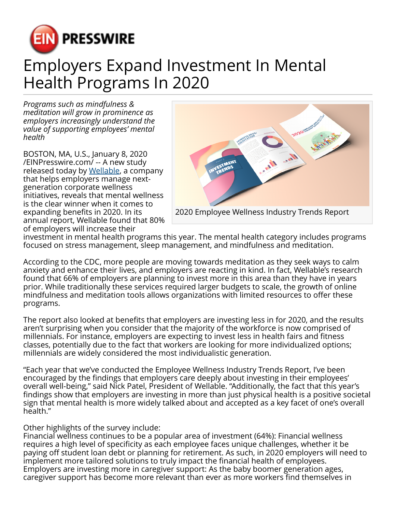

## Employers Expand Investment In Mental Health Programs In 2020

*Programs such as mindfulness & meditation will grow in prominence as employers increasingly understand the value of supporting employees' mental health*

BOSTON, MA, U.S., January 8, 2020 [/EINPresswire.com/](http://www.einpresswire.com) -- A new study released today by [Wellable](https://www.wellable.co/home), a company that helps employers manage nextgeneration corporate wellness initiatives, reveals that mental wellness is the clear winner when it comes to expanding benefits in 2020. In its annual report, Wellable found that 80% of employers will increase their



investment in mental health programs this year. The mental health category includes programs focused on stress management, sleep management, and mindfulness and meditation.

According to the CDC, more people are moving towards meditation as they seek ways to calm anxiety and enhance their lives, and employers are reacting in kind. In fact, Wellable's research found that 66% of employers are planning to invest more in this area than they have in years prior. While traditionally these services required larger budgets to scale, the growth of online mindfulness and meditation tools allows organizations with limited resources to offer these programs.

The report also looked at benefits that employers are investing less in for 2020, and the results aren't surprising when you consider that the majority of the workforce is now comprised of millennials. For instance, employers are expecting to invest less in health fairs and fitness classes, potentially due to the fact that workers are looking for more individualized options; millennials are widely considered the most individualistic generation.

"Each year that we've conducted the Employee Wellness Industry Trends Report, I've been encouraged by the findings that employers care deeply about investing in their employees' overall well-being," said Nick Patel, President of Wellable. "Additionally, the fact that this year's findings show that employers are investing in more than just physical health is a positive societal sign that mental health is more widely talked about and accepted as a key facet of one's overall health."

## Other highlights of the survey include:

Financial wellness continues to be a popular area of investment (64%): Financial wellness requires a high level of specificity as each employee faces unique challenges, whether it be paying off student loan debt or planning for retirement. As such, in 2020 employers will need to implement more tailored solutions to truly impact the financial health of employees. Employers are investing more in caregiver support: As the baby boomer generation ages, caregiver support has become more relevant than ever as more workers find themselves in